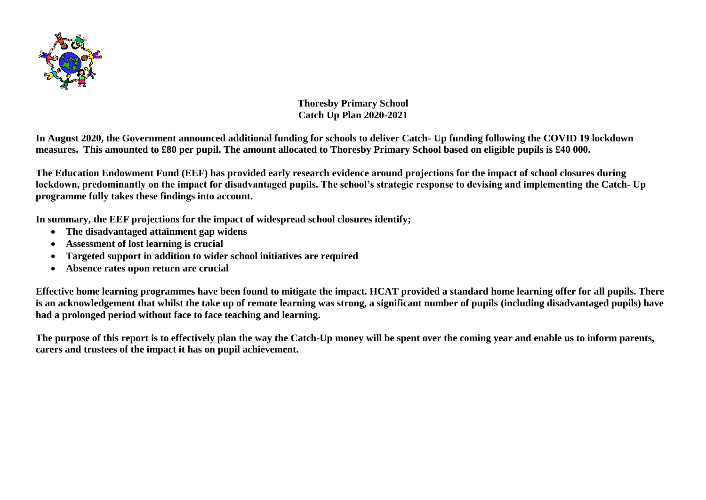

**Thoresby Primary School Catch Up Plan 2020-2021**

**In August 2020, the Government announced additional funding for schools to deliver Catch- Up funding following the COVID 19 lockdown measures. This amounted to £80 per pupil. The amount allocated to Thoresby Primary School based on eligible pupils is £40 000.**

**The Education Endowment Fund (EEF) has provided early research evidence around projections for the impact of school closures during lockdown, predominantly on the impact for disadvantaged pupils. The school's strategic response to devising and implementing the Catch- Up programme fully takes these findings into account.** 

**In summary, the EEF projections for the impact of widespread school closures identify;**

- **The disadvantaged attainment gap widens**
- **Assessment of lost learning is crucial**
- **Targeted support in addition to wider school initiatives are required**
- **Absence rates upon return are crucial**

**Effective home learning programmes have been found to mitigate the impact. HCAT provided a standard home learning offer for all pupils. There is an acknowledgement that whilst the take up of remote learning was strong, a significant number of pupils (including disadvantaged pupils) have had a prolonged period without face to face teaching and learning.** 

**The purpose of this report is to effectively plan the way the Catch-Up money will be spent over the coming year and enable us to inform parents, carers and trustees of the impact it has on pupil achievement.**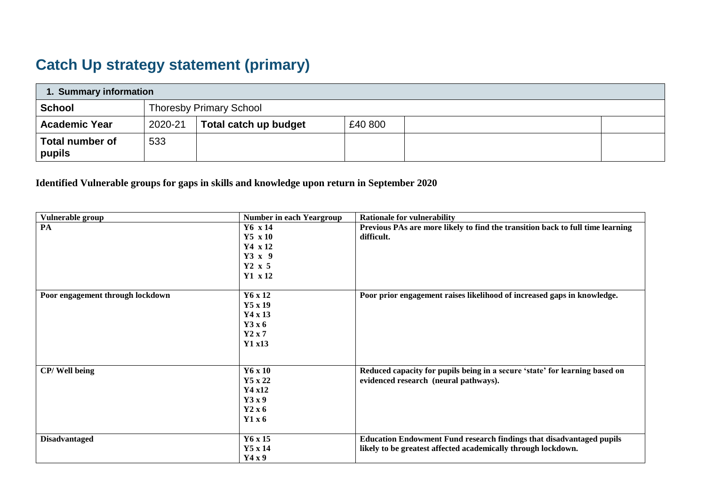## **Catch Up strategy statement (primary)**

| 1. Summary information           |         |                                |         |  |  |  |  |  |  |
|----------------------------------|---------|--------------------------------|---------|--|--|--|--|--|--|
| <b>School</b>                    |         | <b>Thoresby Primary School</b> |         |  |  |  |  |  |  |
| <b>Academic Year</b>             | 2020-21 | Total catch up budget          | £40 800 |  |  |  |  |  |  |
| <b>Total number of</b><br>pupils | 533     |                                |         |  |  |  |  |  |  |

**Identified Vulnerable groups for gaps in skills and knowledge upon return in September 2020**

| Vulnerable group                 | <b>Number in each Yeargroup</b> | <b>Rationale for vulnerability</b>                                             |
|----------------------------------|---------------------------------|--------------------------------------------------------------------------------|
| PA                               | $Y6 \times 14$                  | Previous PAs are more likely to find the transition back to full time learning |
|                                  | $Y5 \times 10$                  | difficult.                                                                     |
|                                  | $Y4 \times 12$                  |                                                                                |
|                                  | $Y3 \times 9$                   |                                                                                |
|                                  | $Y2 \times 5$                   |                                                                                |
|                                  | $Y1 \times 12$                  |                                                                                |
| Poor engagement through lockdown | Y6 x 12                         | Poor prior engagement raises likelihood of increased gaps in knowledge.        |
|                                  | $Y5 \times 19$                  |                                                                                |
|                                  | $Y4 \times 13$                  |                                                                                |
|                                  | Y3x6                            |                                                                                |
|                                  | $Y2 \times 7$                   |                                                                                |
|                                  | Y1 x13                          |                                                                                |
|                                  |                                 |                                                                                |
| CP/Well being                    | Y6 x 10                         | Reduced capacity for pupils being in a secure 'state' for learning based on    |
|                                  | Y5 x 22                         | evidenced research (neural pathways).                                          |
|                                  | Y4 x12                          |                                                                                |
|                                  | Y3x9                            |                                                                                |
|                                  | Y2 x 6                          |                                                                                |
|                                  | Y1x6                            |                                                                                |
| <b>Disadvantaged</b>             | $Y6 \times 15$                  | <b>Education Endowment Fund research findings that disadvantaged pupils</b>    |
|                                  | $Y5 \times 14$                  | likely to be greatest affected academically through lockdown.                  |
|                                  | Y4x9                            |                                                                                |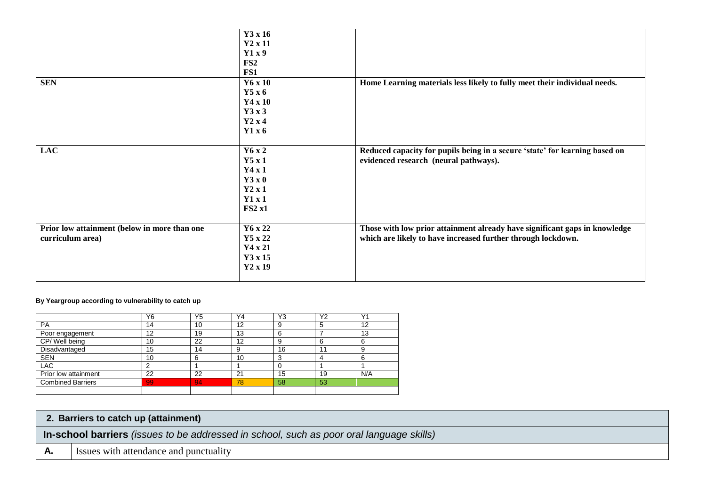|                                              | Y3 x 16        |                                                                             |
|----------------------------------------------|----------------|-----------------------------------------------------------------------------|
|                                              | $Y2 \times 11$ |                                                                             |
|                                              | Y1x9           |                                                                             |
|                                              | FS2            |                                                                             |
|                                              | FS1            |                                                                             |
| <b>SEN</b>                                   | Y6 x 10        | Home Learning materials less likely to fully meet their individual needs.   |
|                                              | Y5x6           |                                                                             |
|                                              | Y4 x 10        |                                                                             |
|                                              | Y3x3           |                                                                             |
|                                              | Y2x4           |                                                                             |
|                                              |                |                                                                             |
|                                              | Y1x6           |                                                                             |
|                                              |                |                                                                             |
| <b>LAC</b>                                   | Y6 x 2         | Reduced capacity for pupils being in a secure 'state' for learning based on |
|                                              | Y5x1           | evidenced research (neural pathways).                                       |
|                                              | Y4x1           |                                                                             |
|                                              | Y3x0           |                                                                             |
|                                              | Y2x1           |                                                                             |
|                                              | Y1x1           |                                                                             |
|                                              | FS2 x1         |                                                                             |
|                                              |                |                                                                             |
| Prior low attainment (below in more than one | Y6 x 22        | Those with low prior attainment already have significant gaps in knowledge  |
| curriculum area)                             | Y5 x 22        | which are likely to have increased further through lockdown.                |
|                                              | Y4 x 21        |                                                                             |
|                                              | Y3 x 15        |                                                                             |
|                                              | $Y2 \times 19$ |                                                                             |
|                                              |                |                                                                             |
|                                              |                |                                                                             |

## **By Yeargroup according to vulnerability to catch up**

|                          | Y6 | Y <sub>5</sub> | Y4 | Y3              | Y2 | Y <sub>1</sub> |
|--------------------------|----|----------------|----|-----------------|----|----------------|
| <b>PA</b>                | 14 | 10             | 12 | 9               |    | 12             |
| Poor engagement          | 12 | 19             | 13 | 6               |    | 13             |
| CP/Well being            | 10 | 22             | 12 | 9               | b  | 6              |
| Disadvantaged            | 15 | 14             | 9  | 16              | 11 | 9              |
| <b>SEN</b>               | 10 |                | 10 | $\sqrt{2}$<br>w |    | 6              |
| <b>LAC</b>               |    |                |    |                 |    |                |
| Prior low attainment     | 22 | 22             | 21 | 15              | 19 | N/A            |
| <b>Combined Barriers</b> | 99 | 94             | 78 | 58              | 53 |                |
|                          |    |                |    |                 |    |                |

## **2. Barriers to catch up (attainment)**

**In-school barriers** *(issues to be addressed in school, such as poor oral language skills)*

**A.** Issues with attendance and punctuality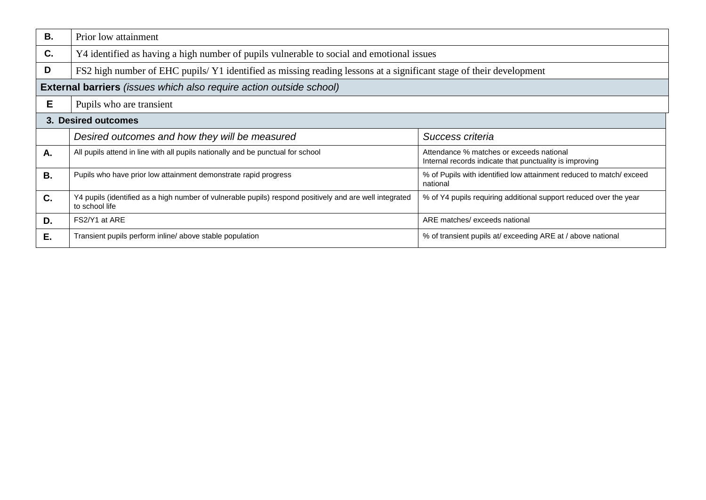| В.        | Prior low attainment                                                                                                      |                                                                                                     |  |  |  |  |  |  |  |  |
|-----------|---------------------------------------------------------------------------------------------------------------------------|-----------------------------------------------------------------------------------------------------|--|--|--|--|--|--|--|--|
| C.        | Y4 identified as having a high number of pupils vulnerable to social and emotional issues                                 |                                                                                                     |  |  |  |  |  |  |  |  |
| D         | FS2 high number of EHC pupils/Y1 identified as missing reading lessons at a significant stage of their development        |                                                                                                     |  |  |  |  |  |  |  |  |
|           | <b>External barriers</b> (issues which also require action outside school)                                                |                                                                                                     |  |  |  |  |  |  |  |  |
| E.        | Pupils who are transient                                                                                                  |                                                                                                     |  |  |  |  |  |  |  |  |
|           | 3. Desired outcomes                                                                                                       |                                                                                                     |  |  |  |  |  |  |  |  |
|           | Desired outcomes and how they will be measured<br>Success criteria                                                        |                                                                                                     |  |  |  |  |  |  |  |  |
| A.        | All pupils attend in line with all pupils nationally and be punctual for school                                           | Attendance % matches or exceeds national<br>Internal records indicate that punctuality is improving |  |  |  |  |  |  |  |  |
| <b>B.</b> | Pupils who have prior low attainment demonstrate rapid progress                                                           | % of Pupils with identified low attainment reduced to match/exceed<br>national                      |  |  |  |  |  |  |  |  |
| C.        | Y4 pupils (identified as a high number of vulnerable pupils) respond positively and are well integrated<br>to school life | % of Y4 pupils requiring additional support reduced over the year                                   |  |  |  |  |  |  |  |  |
| D.        | FS2/Y1 at ARE                                                                                                             | ARE matches/ exceeds national                                                                       |  |  |  |  |  |  |  |  |
| Ε.        | Transient pupils perform inline/ above stable population                                                                  | % of transient pupils at/ exceeding ARE at / above national                                         |  |  |  |  |  |  |  |  |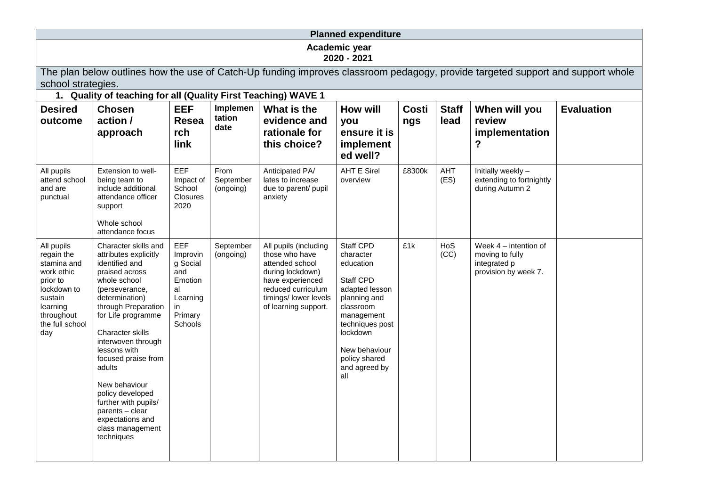| <b>Planned expenditure</b>                                                                                                                                                                                              |                                                                                                                                                                                                                                                                                                                                                                                                                     |                                                                                             |                                |                                                                                                                                                                           |                                                                                                                                                                                                               |              |                      |                                                                                    |                   |  |
|-------------------------------------------------------------------------------------------------------------------------------------------------------------------------------------------------------------------------|---------------------------------------------------------------------------------------------------------------------------------------------------------------------------------------------------------------------------------------------------------------------------------------------------------------------------------------------------------------------------------------------------------------------|---------------------------------------------------------------------------------------------|--------------------------------|---------------------------------------------------------------------------------------------------------------------------------------------------------------------------|---------------------------------------------------------------------------------------------------------------------------------------------------------------------------------------------------------------|--------------|----------------------|------------------------------------------------------------------------------------|-------------------|--|
|                                                                                                                                                                                                                         | Academic year<br>2020 - 2021                                                                                                                                                                                                                                                                                                                                                                                        |                                                                                             |                                |                                                                                                                                                                           |                                                                                                                                                                                                               |              |                      |                                                                                    |                   |  |
| The plan below outlines how the use of Catch-Up funding improves classroom pedagogy, provide targeted support and support whole<br>school strategies.<br>1. Quality of teaching for all (Quality First Teaching) WAVE 1 |                                                                                                                                                                                                                                                                                                                                                                                                                     |                                                                                             |                                |                                                                                                                                                                           |                                                                                                                                                                                                               |              |                      |                                                                                    |                   |  |
| <b>Desired</b><br>outcome                                                                                                                                                                                               | <b>Chosen</b><br>action /<br>approach                                                                                                                                                                                                                                                                                                                                                                               | <b>EEF</b><br><b>Resea</b><br>rch<br>link                                                   | Implemen<br>tation<br>date     | What is the<br>evidence and<br>rationale for<br>this choice?                                                                                                              | <b>How will</b><br>you<br>ensure it is<br>implement<br>ed well?                                                                                                                                               | Costi<br>ngs | <b>Staff</b><br>lead | When will you<br>review<br>implementation<br>?                                     | <b>Evaluation</b> |  |
| All pupils<br>attend school<br>and are<br>punctual                                                                                                                                                                      | Extension to well-<br>being team to<br>include additional<br>attendance officer<br>support<br>Whole school<br>attendance focus                                                                                                                                                                                                                                                                                      | EEF<br>Impact of<br>School<br><b>Closures</b><br>2020                                       | From<br>September<br>(ongoing) | Anticipated PA/<br>lates to increase<br>due to parent/ pupil<br>anxiety                                                                                                   | <b>AHT E Sirel</b><br>overview                                                                                                                                                                                | £8300k       | AHT<br>(ES)          | Initially weekly -<br>extending to fortnightly<br>during Autumn 2                  |                   |  |
| All pupils<br>regain the<br>stamina and<br>work ethic<br>prior to<br>lockdown to<br>sustain<br>learning<br>throughout<br>the full school<br>day                                                                         | Character skills and<br>attributes explicitly<br>identified and<br>praised across<br>whole school<br>(perseverance,<br>determination)<br>through Preparation<br>for Life programme<br>Character skills<br>interwoven through<br>lessons with<br>focused praise from<br>adults<br>New behaviour<br>policy developed<br>further with pupils/<br>parents - clear<br>expectations and<br>class management<br>techniques | EEF<br>Improvin<br>g Social<br>and<br>Emotion<br>al<br>Learning<br>in<br>Primary<br>Schools | September<br>(ongoing)         | All pupils (including<br>those who have<br>attended school<br>during lockdown)<br>have experienced<br>reduced curriculum<br>timings/ lower levels<br>of learning support. | <b>Staff CPD</b><br>character<br>education<br>Staff CPD<br>adapted lesson<br>planning and<br>classroom<br>management<br>techniques post<br>lockdown<br>New behaviour<br>policy shared<br>and agreed by<br>all | £1k          | HoS<br>(CC)          | Week $4$ – intention of<br>moving to fully<br>integrated p<br>provision by week 7. |                   |  |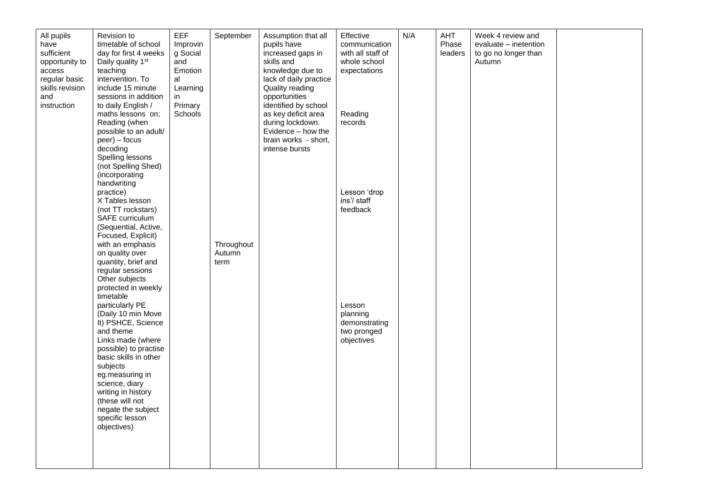| All pupils<br>have<br>sufficient<br>opportunity to<br>access<br>regular basic<br>skills revision<br>and<br>instruction | Revision to<br>timetable of school<br>day for first 4 weeks<br>Daily quality 1 <sup>st</sup><br>teaching<br>intervention. To<br>include 15 minute<br>sessions in addition<br>to daily English /<br>maths lessons on;<br>Reading (when                                                                                                                                               | <b>EEF</b><br>Improvin<br>g Social<br>and<br>Emotion<br>al<br>Learning<br>in<br>Primary<br>Schools | September            | Assumption that all<br>pupils have<br>increased gaps in<br>skills and<br>knowledge due to<br>lack of daily practice<br>Quality reading<br>opportunities<br>identified by school<br>as key deficit area<br>during lockdown. | Effective<br>communication<br>with all staff of<br>whole school<br>expectations<br>Reading<br>records | N/A | AHT<br>Phase<br>leaders | Week 4 review and<br>evaluate - inetention<br>to go no longer than<br>Autumn |  |
|------------------------------------------------------------------------------------------------------------------------|-------------------------------------------------------------------------------------------------------------------------------------------------------------------------------------------------------------------------------------------------------------------------------------------------------------------------------------------------------------------------------------|----------------------------------------------------------------------------------------------------|----------------------|----------------------------------------------------------------------------------------------------------------------------------------------------------------------------------------------------------------------------|-------------------------------------------------------------------------------------------------------|-----|-------------------------|------------------------------------------------------------------------------|--|
|                                                                                                                        | possible to an adult/<br>$peer) - focus$<br>decoding<br>Spelling lessons<br>(not Spelling Shed)<br>(incorporating<br>handwriting<br>practice)<br>X Tables lesson<br>(not TT rockstars)<br>SAFE curriculum<br>(Sequential, Active,<br>Focused, Explicit)<br>with an emphasis                                                                                                         |                                                                                                    | Throughout<br>Autumn | Evidence - how the<br>brain works - short,<br>intense bursts                                                                                                                                                               | Lesson 'drop<br>ins'/ staff<br>feedback                                                               |     |                         |                                                                              |  |
|                                                                                                                        | on quality over<br>quantity, brief and<br>regular sessions<br>Other subjects<br>protected in weekly<br>timetable<br>particularly PE<br>(Daily 10 min Move<br>It) PSHCE, Science<br>and theme<br>Links made (where<br>possible) to practise<br>basic skills in other<br>subjects<br>eg.measuring in<br>science, diary<br>writing in history<br>(these will not<br>negate the subject |                                                                                                    | term                 |                                                                                                                                                                                                                            | Lesson<br>planning<br>demonstrating<br>two pronged<br>objectives                                      |     |                         |                                                                              |  |
|                                                                                                                        | specific lesson<br>objectives)                                                                                                                                                                                                                                                                                                                                                      |                                                                                                    |                      |                                                                                                                                                                                                                            |                                                                                                       |     |                         |                                                                              |  |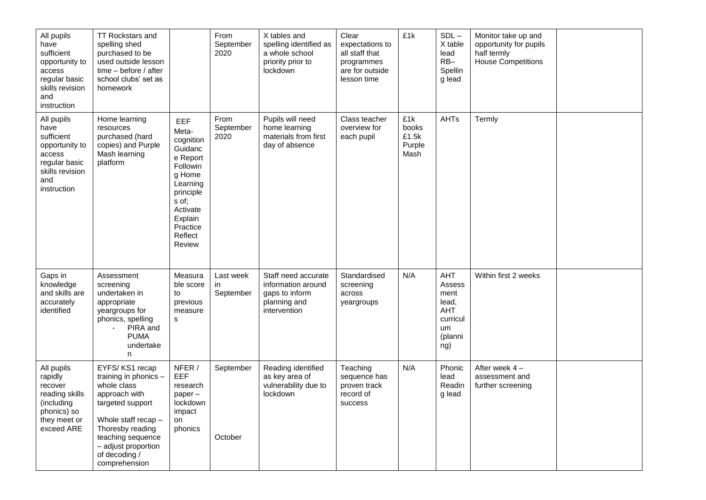| All pupils<br>have<br>sufficient<br>opportunity to<br>access<br>regular basic<br>skills revision<br>and<br>instruction | <b>TT Rockstars and</b><br>spelling shed<br>purchased to be<br>used outside lesson<br>time - before / after<br>school clubs' set as<br>homework                                                                      |                                                                                                                                                                         | From<br>September<br>2020     | X tables and<br>spelling identified as<br>a whole school<br>priority prior to<br>lockdown   | Clear<br>expectations to<br>all staff that<br>programmes<br>are for outside<br>lesson time | £1k                                     | $SDL-$<br>X table<br>lead<br>$RB-$<br>Spellin<br>g lead                   | Monitor take up and<br>opportunity for pupils<br>half termly<br><b>House Competitions</b> |  |
|------------------------------------------------------------------------------------------------------------------------|----------------------------------------------------------------------------------------------------------------------------------------------------------------------------------------------------------------------|-------------------------------------------------------------------------------------------------------------------------------------------------------------------------|-------------------------------|---------------------------------------------------------------------------------------------|--------------------------------------------------------------------------------------------|-----------------------------------------|---------------------------------------------------------------------------|-------------------------------------------------------------------------------------------|--|
| All pupils<br>have<br>sufficient<br>opportunity to<br>access<br>regular basic<br>skills revision<br>and<br>instruction | Home learning<br>resources<br>purchased (hard<br>copies) and Purple<br>Mash learning<br>platform                                                                                                                     | <b>EEF</b><br>Meta-<br>cognition<br>Guidanc<br>e Report<br>Followin<br>g Home<br>Learning<br>principle<br>s of;<br>Activate<br>Explain<br>Practice<br>Reflect<br>Review | From<br>September<br>2020     | Pupils will need<br>home learning<br>materials from first<br>day of absence                 | Class teacher<br>overview for<br>each pupil                                                | £1k<br>books<br>£1.5k<br>Purple<br>Mash | AHTs                                                                      | Termly                                                                                    |  |
| Gaps in<br>knowledge<br>and skills are<br>accurately<br>identified                                                     | Assessment<br>screening<br>undertaken in<br>appropriate<br>yeargroups for<br>phonics, spelling<br>PIRA and<br><b>PUMA</b><br>undertake<br>n                                                                          | Measura<br>ble score<br>to<br>previous<br>measure<br>s                                                                                                                  | Last week<br>in.<br>September | Staff need accurate<br>information around<br>gaps to inform<br>planning and<br>intervention | Standardised<br>screening<br>across<br>yeargroups                                          | N/A                                     | AHT<br>Assess<br>ment<br>lead,<br>AHT<br>curricul<br>um<br>(planni<br>ng) | Within first 2 weeks                                                                      |  |
| All pupils<br>rapidly<br>recover<br>reading skills<br>(including<br>phonics) so<br>they meet or<br>exceed ARE          | EYFS/KS1 recap<br>training in phonics -<br>whole class<br>approach with<br>targeted support<br>Whole staff recap -<br>Thoresby reading<br>teaching sequence<br>- adjust proportion<br>of decoding /<br>comprehension | NFER /<br>EEF<br>research<br>paper-<br>lockdown<br>impact<br>on<br>phonics                                                                                              | September<br>October          | Reading identified<br>as key area of<br>vulnerability due to<br>lockdown                    | Teaching<br>sequence has<br>proven track<br>record of<br>success                           | N/A                                     | Phonic<br>lead<br>Readin<br>g lead                                        | After week 4-<br>assessment and<br>further screening                                      |  |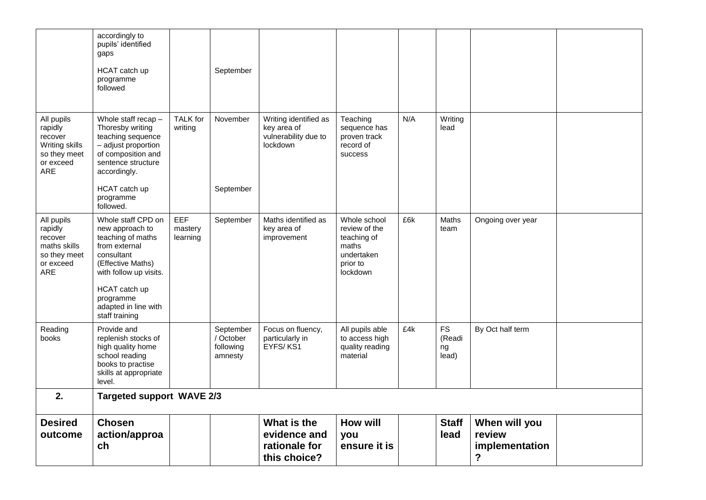|                                                                                        | accordingly to<br>pupils' identified<br>gaps<br>HCAT catch up<br>programme<br>followed                                                                                                                           |                                   | September                                      |                                                                          |                                                                                             |     |                                    |                                                |  |
|----------------------------------------------------------------------------------------|------------------------------------------------------------------------------------------------------------------------------------------------------------------------------------------------------------------|-----------------------------------|------------------------------------------------|--------------------------------------------------------------------------|---------------------------------------------------------------------------------------------|-----|------------------------------------|------------------------------------------------|--|
| All pupils<br>rapidly<br>recover<br>Writing skills<br>so they meet<br>or exceed<br>ARE | Whole staff recap -<br>Thoresby writing<br>teaching sequence<br>- adjust proportion<br>of composition and<br>sentence structure<br>accordingly.                                                                  | <b>TALK</b> for<br>writing        | November                                       | Writing identified as<br>key area of<br>vulnerability due to<br>lockdown | Teaching<br>sequence has<br>proven track<br>record of<br>success                            | N/A | Writing<br>lead                    |                                                |  |
|                                                                                        | HCAT catch up<br>programme<br>followed.                                                                                                                                                                          |                                   | September                                      |                                                                          |                                                                                             |     |                                    |                                                |  |
| All pupils<br>rapidly<br>recover<br>maths skills<br>so they meet<br>or exceed<br>ARE   | Whole staff CPD on<br>new approach to<br>teaching of maths<br>from external<br>consultant<br>(Effective Maths)<br>with follow up visits.<br>HCAT catch up<br>programme<br>adapted in line with<br>staff training | <b>EEF</b><br>mastery<br>learning | September                                      | Maths identified as<br>key area of<br>improvement                        | Whole school<br>review of the<br>teaching of<br>maths<br>undertaken<br>prior to<br>lockdown | £6k | Maths<br>team                      | Ongoing over year                              |  |
| Reading<br>books                                                                       | Provide and<br>replenish stocks of<br>high quality home<br>school reading<br>books to practise<br>skills at appropriate<br>level.                                                                                |                                   | September<br>/ October<br>following<br>amnesty | Focus on fluency,<br>particularly in<br>EYFS/KS1                         | All pupils able<br>to access high<br>quality reading<br>material                            | £4k | <b>FS</b><br>(Readi<br>ng<br>lead) | By Oct half term                               |  |
| 2.                                                                                     | <b>Targeted support WAVE 2/3</b>                                                                                                                                                                                 |                                   |                                                |                                                                          |                                                                                             |     |                                    |                                                |  |
| <b>Desired</b><br>outcome                                                              | <b>Chosen</b><br>action/approa<br>ch                                                                                                                                                                             |                                   |                                                | What is the<br>evidence and<br>rationale for<br>this choice?             | <b>How will</b><br>you<br>ensure it is                                                      |     | <b>Staff</b><br>lead               | When will you<br>review<br>implementation<br>? |  |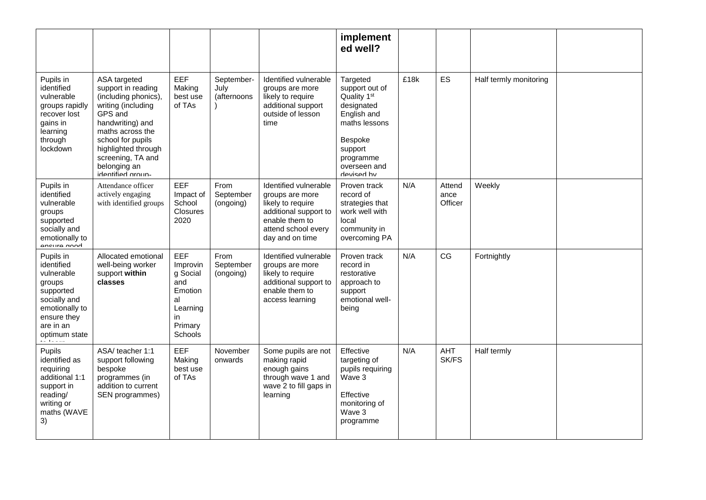|                                                                                                                                                             |                                                                                                                                                                                                                                           |                                                                                                    |                                   |                                                                                                                                                    | implement<br>ed well?                                                                                                                                                |      |                           |                        |  |
|-------------------------------------------------------------------------------------------------------------------------------------------------------------|-------------------------------------------------------------------------------------------------------------------------------------------------------------------------------------------------------------------------------------------|----------------------------------------------------------------------------------------------------|-----------------------------------|----------------------------------------------------------------------------------------------------------------------------------------------------|----------------------------------------------------------------------------------------------------------------------------------------------------------------------|------|---------------------------|------------------------|--|
| Pupils in<br>identified<br>vulnerable<br>groups rapidly<br>recover lost<br>gains in<br>learning<br>through<br>lockdown                                      | ASA targeted<br>support in reading<br>(including phonics),<br>writing (including<br>GPS and<br>handwriting) and<br>maths across the<br>school for pupils<br>highlighted through<br>screening, TA and<br>belonging an<br>identified aroun- | EEF<br>Making<br>best use<br>of TAs                                                                | September-<br>July<br>(afternoons | Identified vulnerable<br>groups are more<br>likely to require<br>additional support<br>outside of lesson<br>time                                   | Targeted<br>support out of<br>Quality 1 <sup>st</sup><br>designated<br>English and<br>maths lessons<br>Bespoke<br>support<br>programme<br>overseen and<br>devised hy | £18k | ES                        | Half termly monitoring |  |
| Pupils in<br>identified<br>vulnerable<br>groups<br>supported<br>socially and<br>emotionally to<br>Anellica Mood                                             | Attendance officer<br>actively engaging<br>with identified groups                                                                                                                                                                         | EEF<br>Impact of<br>School<br><b>Closures</b><br>2020                                              | From<br>September<br>(ongoing)    | Identified vulnerable<br>groups are more<br>likely to require<br>additional support to<br>enable them to<br>attend school every<br>day and on time | Proven track<br>record of<br>strategies that<br>work well with<br>local<br>community in<br>overcoming PA                                                             | N/A  | Attend<br>ance<br>Officer | Weekly                 |  |
| Pupils in<br>identified<br>vulnerable<br>groups<br>supported<br>socially and<br>emotionally to<br>ensure they<br>are in an<br>optimum state<br>مستوسط أنباء | Allocated emotional<br>well-being worker<br>support within<br>classes                                                                                                                                                                     | EEF<br>Improvin<br>g Social<br>and<br>Emotion<br>al<br>Learning<br>in<br>Primary<br><b>Schools</b> | From<br>September<br>(ongoing)    | Identified vulnerable<br>groups are more<br>likely to require<br>additional support to<br>enable them to<br>access learning                        | Proven track<br>record in<br>restorative<br>approach to<br>support<br>emotional well-<br>being                                                                       | N/A  | CG                        | Fortnightly            |  |
| Pupils<br>identified as<br>requiring<br>additional 1:1<br>support in<br>reading/<br>writing or<br>maths (WAVE<br>3)                                         | ASA/ teacher 1:1<br>support following<br>bespoke<br>programmes (in<br>addition to current<br>SEN programmes)                                                                                                                              | EEF<br>Making<br>best use<br>of TAs                                                                | November<br>onwards               | Some pupils are not<br>making rapid<br>enough gains<br>through wave 1 and<br>wave 2 to fill gaps in<br>learning                                    | Effective<br>targeting of<br>pupils requiring<br>Wave 3<br>Effective<br>monitoring of<br>Wave 3<br>programme                                                         | N/A  | AHT<br>SK/FS              | Half termly            |  |